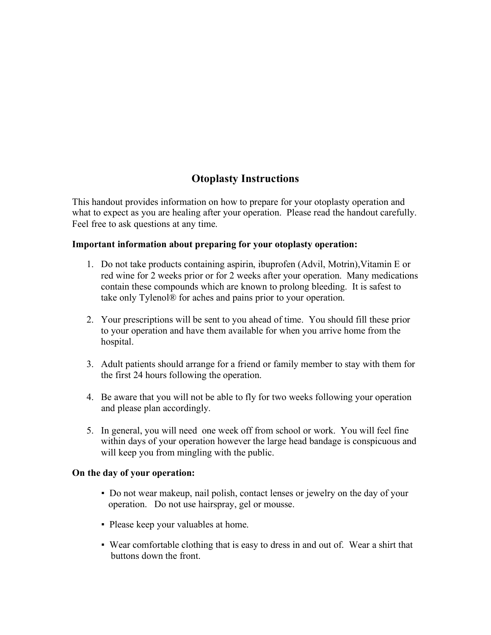# **Otoplasty Instructions**

This handout provides information on how to prepare for your otoplasty operation and what to expect as you are healing after your operation. Please read the handout carefully. Feel free to ask questions at any time.

### **Important information about preparing for your otoplasty operation:**

- 1. Do not take products containing aspirin, ibuprofen (Advil, Motrin),Vitamin E or red wine for 2 weeks prior or for 2 weeks after your operation. Many medications contain these compounds which are known to prolong bleeding. It is safest to take only Tylenol® for aches and pains prior to your operation.
- 2. Your prescriptions will be sent to you ahead of time. You should fill these prior to your operation and have them available for when you arrive home from the hospital.
- 3. Adult patients should arrange for a friend or family member to stay with them for the first 24 hours following the operation.
- 4. Be aware that you will not be able to fly for two weeks following your operation and please plan accordingly.
- 5. In general, you will need one week off from school or work. You will feel fine within days of your operation however the large head bandage is conspicuous and will keep you from mingling with the public.

# **On the day of your operation:**

- Do not wear makeup, nail polish, contact lenses or jewelry on the day of your operation. Do not use hairspray, gel or mousse.
- Please keep your valuables at home.
- Wear comfortable clothing that is easy to dress in and out of. Wear a shirt that buttons down the front.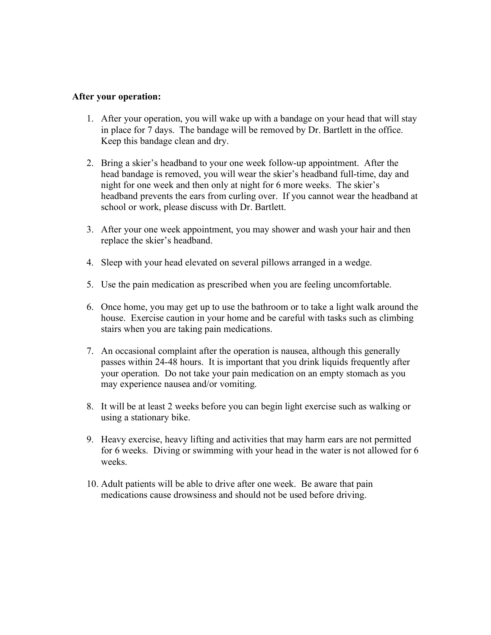#### **After your operation:**

- 1. After your operation, you will wake up with a bandage on your head that will stay in place for 7 days. The bandage will be removed by Dr. Bartlett in the office. Keep this bandage clean and dry.
- 2. Bring a skier's headband to your one week follow-up appointment. After the head bandage is removed, you will wear the skier's headband full-time, day and night for one week and then only at night for 6 more weeks. The skier's headband prevents the ears from curling over. If you cannot wear the headband at school or work, please discuss with Dr. Bartlett.
- 3. After your one week appointment, you may shower and wash your hair and then replace the skier's headband.
- 4. Sleep with your head elevated on several pillows arranged in a wedge.
- 5. Use the pain medication as prescribed when you are feeling uncomfortable.
- 6. Once home, you may get up to use the bathroom or to take a light walk around the house. Exercise caution in your home and be careful with tasks such as climbing stairs when you are taking pain medications.
- 7. An occasional complaint after the operation is nausea, although this generally passes within 24-48 hours. It is important that you drink liquids frequently after your operation. Do not take your pain medication on an empty stomach as you may experience nausea and/or vomiting.
- 8. It will be at least 2 weeks before you can begin light exercise such as walking or using a stationary bike.
- 9. Heavy exercise, heavy lifting and activities that may harm ears are not permitted for 6 weeks. Diving or swimming with your head in the water is not allowed for 6 weeks.
- 10. Adult patients will be able to drive after one week. Be aware that pain medications cause drowsiness and should not be used before driving.